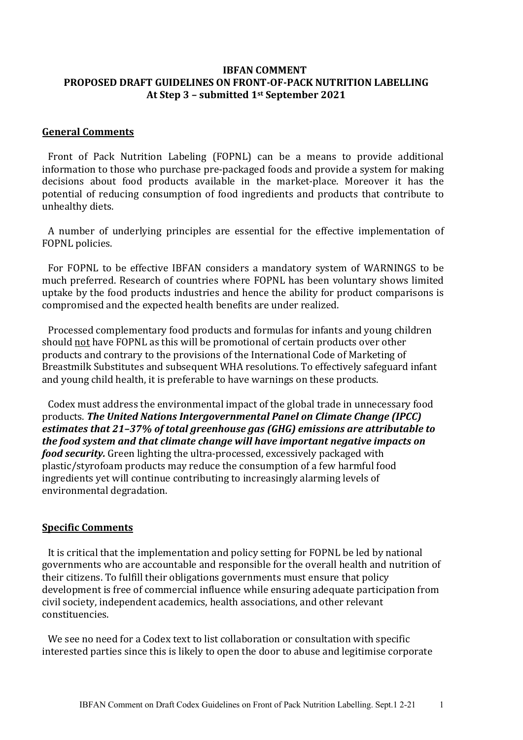### **IBFAN COMMENT PROPOSED DRAFT GUIDELINES ON FRONT-OF-PACK NUTRITION LABELLING At Step 3 – submitted 1st September 2021**

#### **General Comments**

Front of Pack Nutrition Labeling (FOPNL) can be a means to provide additional information to those who purchase pre-packaged foods and provide a system for making decisions about food products available in the market-place. Moreover it has the potential of reducing consumption of food ingredients and products that contribute to unhealthy diets.

A number of underlying principles are essential for the effective implementation of FOPNL policies.

For FOPNL to be effective IBFAN considers a mandatory system of WARNINGS to be much preferred. Research of countries where FOPNL has been voluntary shows limited uptake by the food products industries and hence the ability for product comparisons is compromised and the expected health benefits are under realized.

Processed complementary food products and formulas for infants and young children should not have FOPNL as this will be promotional of certain products over other products and contrary to the provisions of the International Code of Marketing of Breastmilk Substitutes and subsequent WHA resolutions. To effectively safeguard infant and young child health, it is preferable to have warnings on these products.

Codex must address the environmental impact of the global trade in unnecessary food products. The United Nations Intergovernmental Panel on Climate Change (IPCC) estimates that 21-37% of total areenhouse aas (GHG) emissions are attributable to *the food system and that climate change will have important negative impacts on food security.* Green lighting the ultra-processed, excessively packaged with plastic/styrofoam products may reduce the consumption of a few harmful food ingredients yet will continue contributing to increasingly alarming levels of environmental degradation.

#### **Specific Comments**

It is critical that the implementation and policy setting for FOPNL be led by national governments who are accountable and responsible for the overall health and nutrition of their citizens. To fulfill their obligations governments must ensure that policy development is free of commercial influence while ensuring adequate participation from civil society, independent academics, health associations, and other relevant constituencies. 

We see no need for a Codex text to list collaboration or consultation with specific interested parties since this is likely to open the door to abuse and legitimise corporate